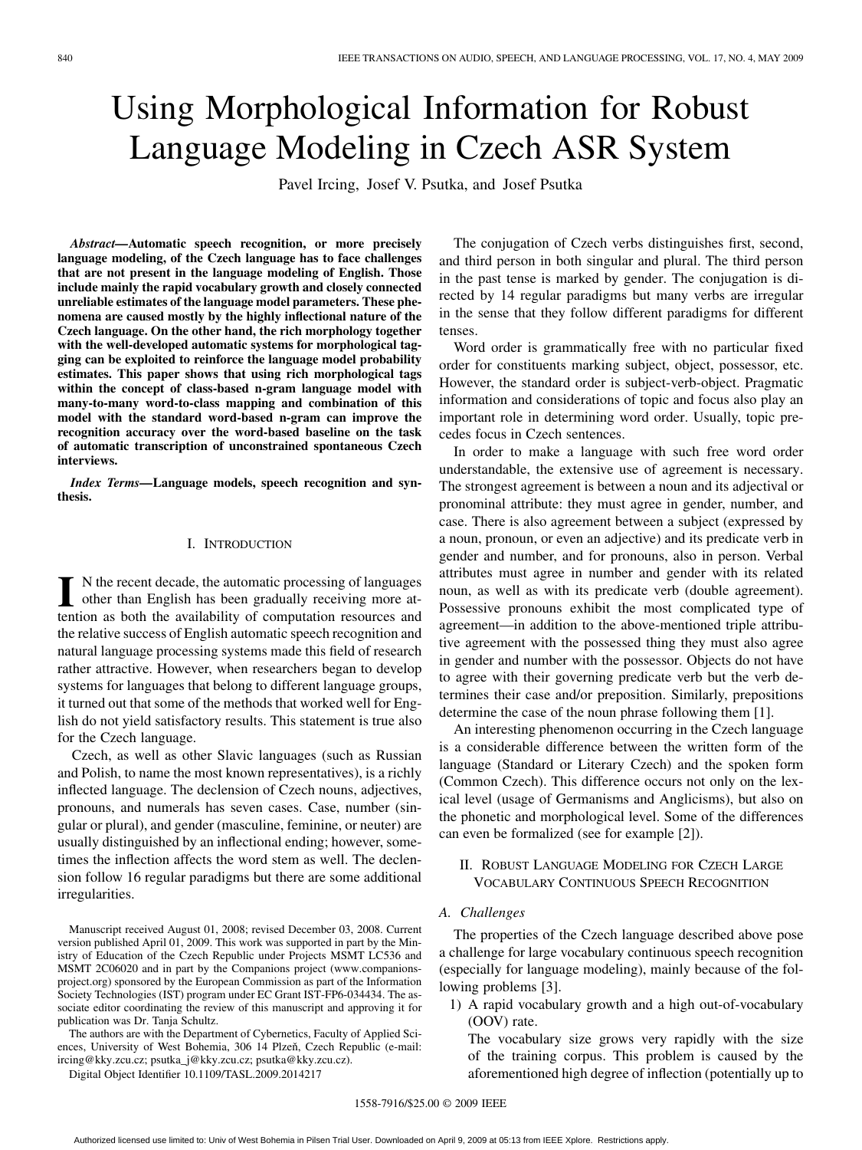# Using Morphological Information for Robust Language Modeling in Czech ASR System

Pavel Ircing, Josef V. Psutka, and Josef Psutka

*Abstract—***Automatic speech recognition, or more precisely language modeling, of the Czech language has to face challenges that are not present in the language modeling of English. Those include mainly the rapid vocabulary growth and closely connected unreliable estimates of the language model parameters. These phenomena are caused mostly by the highly inflectional nature of the Czech language. On the other hand, the rich morphology together with the well-developed automatic systems for morphological tagging can be exploited to reinforce the language model probability estimates. This paper shows that using rich morphological tags within the concept of class-based n-gram language model with many-to-many word-to-class mapping and combination of this model with the standard word-based n-gram can improve the recognition accuracy over the word-based baseline on the task of automatic transcription of unconstrained spontaneous Czech interviews.**

*Index Terms—***Language models, speech recognition and synthesis.**

# I. INTRODUCTION

I N the recent decade, the automatic processing of languages<br>other than English has been gradually receiving more at-<br>tention as both the qualibility of computation resources and tention as both the availability of computation resources and the relative success of English automatic speech recognition and natural language processing systems made this field of research rather attractive. However, when researchers began to develop systems for languages that belong to different language groups, it turned out that some of the methods that worked well for English do not yield satisfactory results. This statement is true also for the Czech language.

Czech, as well as other Slavic languages (such as Russian and Polish, to name the most known representatives), is a richly inflected language. The declension of Czech nouns, adjectives, pronouns, and numerals has seven cases. Case, number (singular or plural), and gender (masculine, feminine, or neuter) are usually distinguished by an inflectional ending; however, sometimes the inflection affects the word stem as well. The declension follow 16 regular paradigms but there are some additional irregularities.

Manuscript received August 01, 2008; revised December 03, 2008. Current version published April 01, 2009. This work was supported in part by the Ministry of Education of the Czech Republic under Projects MSMT LC536 and MSMT 2C06020 and in part by the Companions project (www.companionsproject.org) sponsored by the European Commission as part of the Information Society Technologies (IST) program under EC Grant IST-FP6-034434. The associate editor coordinating the review of this manuscript and approving it for publication was Dr. Tanja Schultz.

The authors are with the Department of Cybernetics, Faculty of Applied Sciences, University of West Bohemia, 306 14 Plzeň, Czech Republic (e-mail: ircing@kky.zcu.cz; psutka\_j@kky.zcu.cz; psutka@kky.zcu.cz).

Digital Object Identifier 10.1109/TASL.2009.2014217

The conjugation of Czech verbs distinguishes first, second, and third person in both singular and plural. The third person in the past tense is marked by gender. The conjugation is directed by 14 regular paradigms but many verbs are irregular in the sense that they follow different paradigms for different tenses.

Word order is grammatically free with no particular fixed order for constituents marking subject, object, possessor, etc. However, the standard order is subject-verb-object. Pragmatic information and considerations of topic and focus also play an important role in determining word order. Usually, topic precedes focus in Czech sentences.

In order to make a language with such free word order understandable, the extensive use of agreement is necessary. The strongest agreement is between a noun and its adjectival or pronominal attribute: they must agree in gender, number, and case. There is also agreement between a subject (expressed by a noun, pronoun, or even an adjective) and its predicate verb in gender and number, and for pronouns, also in person. Verbal attributes must agree in number and gender with its related noun, as well as with its predicate verb (double agreement). Possessive pronouns exhibit the most complicated type of agreement—in addition to the above-mentioned triple attributive agreement with the possessed thing they must also agree in gender and number with the possessor. Objects do not have to agree with their governing predicate verb but the verb determines their case and/or preposition. Similarly, prepositions determine the case of the noun phrase following them [1].

An interesting phenomenon occurring in the Czech language is a considerable difference between the written form of the language (Standard or Literary Czech) and the spoken form (Common Czech). This difference occurs not only on the lexical level (usage of Germanisms and Anglicisms), but also on the phonetic and morphological level. Some of the differences can even be formalized (see for example [2]).

II. ROBUST LANGUAGE MODELING FOR CZECH LARGE VOCABULARY CONTINUOUS SPEECH RECOGNITION

# *A. Challenges*

The properties of the Czech language described above pose a challenge for large vocabulary continuous speech recognition (especially for language modeling), mainly because of the following problems [3].

1) A rapid vocabulary growth and a high out-of-vocabulary (OOV) rate.

The vocabulary size grows very rapidly with the size of the training corpus. This problem is caused by the aforementioned high degree of inflection (potentially up to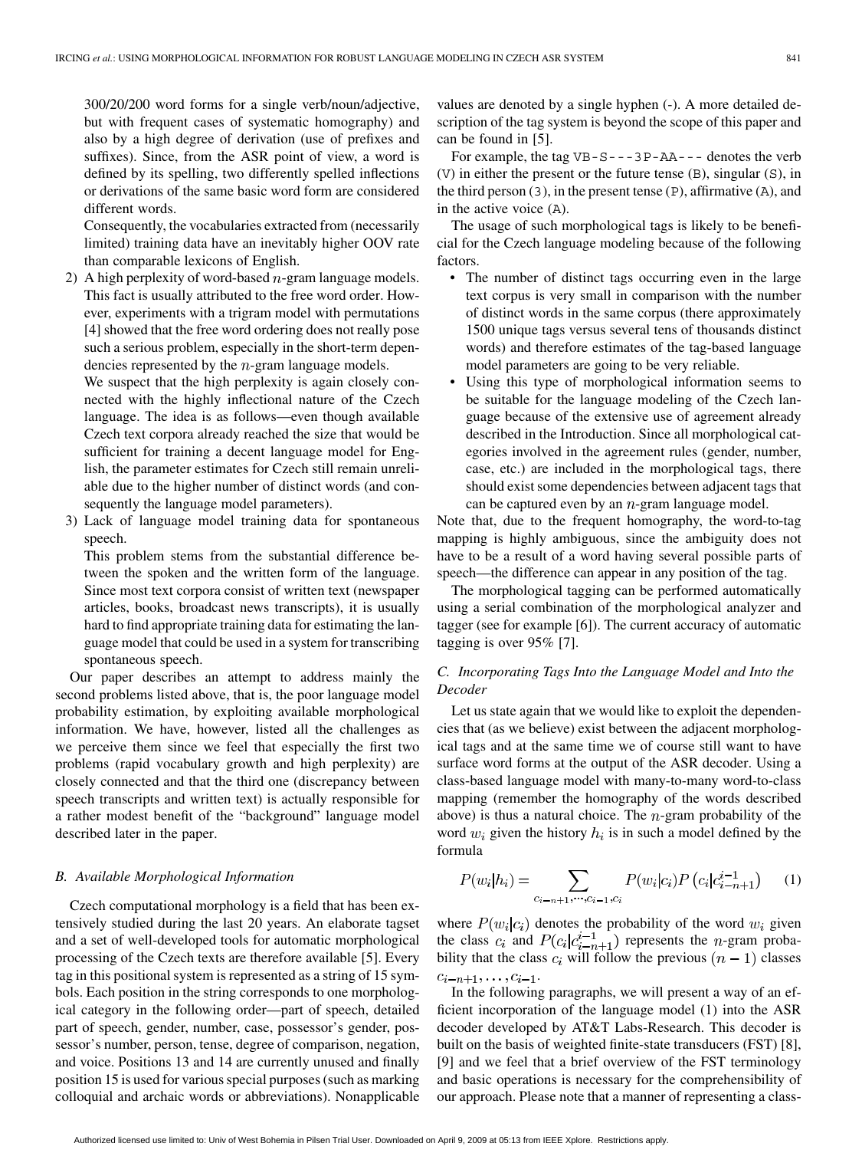300/20/200 word forms for a single verb/noun/adjective, but with frequent cases of systematic homography) and also by a high degree of derivation (use of prefixes and suffixes). Since, from the ASR point of view, a word is defined by its spelling, two differently spelled inflections or derivations of the same basic word form are considered different words.

Consequently, the vocabularies extracted from (necessarily limited) training data have an inevitably higher OOV rate than comparable lexicons of English.

2) A high perplexity of word-based  $n$ -gram language models. This fact is usually attributed to the free word order. However, experiments with a trigram model with permutations [4] showed that the free word ordering does not really pose such a serious problem, especially in the short-term dependencies represented by the  $n$ -gram language models.

We suspect that the high perplexity is again closely connected with the highly inflectional nature of the Czech language. The idea is as follows—even though available Czech text corpora already reached the size that would be sufficient for training a decent language model for English, the parameter estimates for Czech still remain unreliable due to the higher number of distinct words (and consequently the language model parameters).

3) Lack of language model training data for spontaneous speech.

This problem stems from the substantial difference between the spoken and the written form of the language. Since most text corpora consist of written text (newspaper articles, books, broadcast news transcripts), it is usually hard to find appropriate training data for estimating the language model that could be used in a system for transcribing spontaneous speech.

Our paper describes an attempt to address mainly the second problems listed above, that is, the poor language model probability estimation, by exploiting available morphological information. We have, however, listed all the challenges as we perceive them since we feel that especially the first two problems (rapid vocabulary growth and high perplexity) are closely connected and that the third one (discrepancy between speech transcripts and written text) is actually responsible for a rather modest benefit of the "background" language model described later in the paper.

# *B. Available Morphological Information*

Czech computational morphology is a field that has been extensively studied during the last 20 years. An elaborate tagset and a set of well-developed tools for automatic morphological processing of the Czech texts are therefore available [5]. Every tag in this positional system is represented as a string of 15 symbols. Each position in the string corresponds to one morphological category in the following order—part of speech, detailed part of speech, gender, number, case, possessor's gender, possessor's number, person, tense, degree of comparison, negation, and voice. Positions 13 and 14 are currently unused and finally position 15 is used for various special purposes (such as marking colloquial and archaic words or abbreviations). Nonapplicable

values are denoted by a single hyphen (-). A more detailed description of the tag system is beyond the scope of this paper and can be found in [5].

For example, the tag  $VB-S---3P-AA---$  denotes the verb (V) in either the present or the future tense (B), singular (S), in the third person (3), in the present tense (P), affirmative (A), and in the active voice (A).

The usage of such morphological tags is likely to be beneficial for the Czech language modeling because of the following factors.

- The number of distinct tags occurring even in the large text corpus is very small in comparison with the number of distinct words in the same corpus (there approximately 1500 unique tags versus several tens of thousands distinct words) and therefore estimates of the tag-based language model parameters are going to be very reliable.
- Using this type of morphological information seems to be suitable for the language modeling of the Czech language because of the extensive use of agreement already described in the Introduction. Since all morphological categories involved in the agreement rules (gender, number, case, etc.) are included in the morphological tags, there should exist some dependencies between adjacent tags that can be captured even by an  $n$ -gram language model.

Note that, due to the frequent homography, the word-to-tag mapping is highly ambiguous, since the ambiguity does not have to be a result of a word having several possible parts of speech—the difference can appear in any position of the tag.

The morphological tagging can be performed automatically using a serial combination of the morphological analyzer and tagger (see for example [6]). The current accuracy of automatic tagging is over 95% [7].

# *C. Incorporating Tags Into the Language Model and Into the Decoder*

Let us state again that we would like to exploit the dependencies that (as we believe) exist between the adjacent morphological tags and at the same time we of course still want to have surface word forms at the output of the ASR decoder. Using a class-based language model with many-to-many word-to-class mapping (remember the homography of the words described above) is thus a natural choice. The  $n$ -gram probability of the word  $w_i$  given the history  $h_i$  is in such a model defined by the formula

$$
P(w_i|h_i) = \sum_{c_{i-n+1}, \cdots, c_{i-1}, c_i} P(w_i|c_i) P(c_i|c_{i-n+1}^{i-1}) \qquad (1)
$$

where  $P(w_i|c_i)$  denotes the probability of the word  $w_i$  given the class  $c_i$  and  $P(c_i|c_{i-n+1}^{i-1})$  represents the *n*-gram probability that the class  $c_i$  will follow the previous  $(n - 1)$  classes  $c_{i-n+1}, \ldots, c_{i-1}.$ 

In the following paragraphs, we will present a way of an efficient incorporation of the language model (1) into the ASR decoder developed by AT&T Labs-Research. This decoder is built on the basis of weighted finite-state transducers (FST) [8], [9] and we feel that a brief overview of the FST terminology and basic operations is necessary for the comprehensibility of our approach. Please note that a manner of representing a class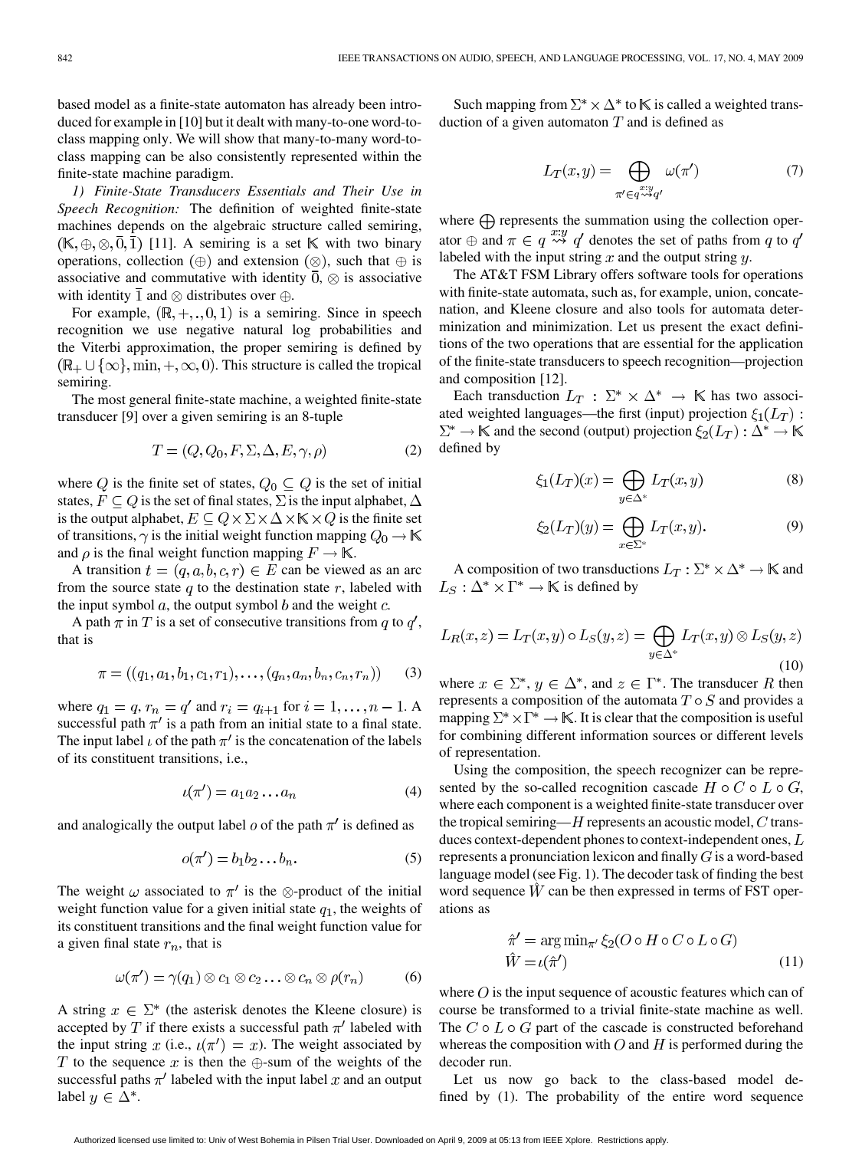based model as a finite-state automaton has already been introduced for example in [10] but it dealt with many-to-one word-toclass mapping only. We will show that many-to-many word-toclass mapping can be also consistently represented within the finite-state machine paradigm.

*1) Finite-State Transducers Essentials and Their Use in Speech Recognition:* The definition of weighted finite-state machines depends on the algebraic structure called semiring,  $(K, \oplus, \otimes, \overline{0}, \overline{1})$  [11]. A semiring is a set K with two binary operations, collection  $(\oplus)$  and extension  $(\otimes)$ , such that  $\oplus$  is associative and commutative with identity  $\overline{0}$ ,  $\otimes$  is associative with identity  $\overline{1}$  and  $\otimes$  distributes over  $\oplus$ .

For example,  $(\mathbb{R}, +, \ldots, 0, 1)$  is a semiring. Since in speech recognition we use negative natural log probabilities and the Viterbi approximation, the proper semiring is defined by  $(\mathbb{R}_{+} \cup {\infty}$ , min,  $+$ ,  $\infty$ , 0). This structure is called the tropical semiring.

The most general finite-state machine, a weighted finite-state transducer [9] over a given semiring is an 8-tuple

$$
T = (Q, Q_0, F, \Sigma, \Delta, E, \gamma, \rho) \tag{2}
$$

where Q is the finite set of states,  $Q_0 \subseteq Q$  is the set of initial states,  $F \subseteq Q$  is the set of final states,  $\Sigma$  is the input alphabet,  $\Delta$ is the output alphabet,  $E \subseteq Q \times \Sigma \times \Delta \times K \times Q$  is the finite set of transitions,  $\gamma$  is the initial weight function mapping  $Q_0 \to \mathbb{K}$ and  $\rho$  is the final weight function mapping  $F \to \mathbb{K}$ .

A transition  $t = (q, a, b, c, r) \in E$  can be viewed as an arc from the source state  $q$  to the destination state  $r$ , labeled with the input symbol  $a$ , the output symbol  $b$  and the weight  $c$ .

A path  $\pi$  in T is a set of consecutive transitions from q to  $q'$ , that is

$$
\pi = ((q_1, a_1, b_1, c_1, r_1), \dots, (q_n, a_n, b_n, c_n, r_n)) \tag{3}
$$

where  $q_1 = q$ ,  $r_n = q'$  and  $r_i = q_{i+1}$  for  $i = 1, ..., n - 1$ . A successful path  $\pi'$  is a path from an initial state to a final state. The input label  $\iota$  of the path  $\pi'$  is the concatenation of the labels of its constituent transitions, i.e.,

$$
\iota(\pi') = a_1 a_2 \dots a_n \tag{4}
$$

and analogically the output label  $\sigma$  of the path  $\pi'$  is defined as

$$
o(\pi') = b_1 b_2 \dots b_n. \tag{5}
$$

The weight  $\omega$  associated to  $\pi'$  is the  $\otimes$ -product of the initial weight function value for a given initial state  $q_1$ , the weights of its constituent transitions and the final weight function value for a given final state  $r_n$ , that is

$$
\omega(\pi') = \gamma(q_1) \otimes c_1 \otimes c_2 \ldots \otimes c_n \otimes \rho(r_n) \tag{6}
$$

A string  $x \in \Sigma^*$  (the asterisk denotes the Kleene closure) is accepted by T if there exists a successful path  $\pi'$  labeled with the input string x (i.e.,  $\iota(\pi') = x$ ). The weight associated by T to the sequence x is then the  $\bigoplus$ -sum of the weights of the successful paths  $\pi'$  labeled with the input label x and an output label  $y \in \Delta^*$ .

Such mapping from  $\Sigma^* \times \Delta^*$  to K is called a weighted transduction of a given automaton  $T$  and is defined as

$$
L_T(x,y) = \bigoplus_{\substack{\pi' \in q^{\pi; y} \\ \pi' \in q^{\infty}q'}} \omega(\pi') \tag{7}
$$

where  $\bigoplus$  represents the summation using the collection operator  $\oplus$  and  $\pi \in q \stackrel{x:y}{\leadsto} q'$  denotes the set of paths from q to  $q'$ labeled with the input string  $x$  and the output string  $y$ .

The AT&T FSM Library offers software tools for operations with finite-state automata, such as, for example, union, concatenation, and Kleene closure and also tools for automata determinization and minimization. Let us present the exact definitions of the two operations that are essential for the application of the finite-state transducers to speech recognition—projection and composition [12].

Each transduction  $L_T : \Sigma^* \times \Delta^* \to \mathbb{K}$  has two associated weighted languages—the first (input) projection  $\xi_1(L_T)$ :  $\Sigma^* \to \mathbb{K}$  and the second (output) projection  $\xi_2(L_T) : \Delta^* \to \mathbb{K}$ defined by

$$
\xi_1(L_T)(x) = \bigoplus_{y \in \Delta^*} L_T(x, y) \tag{8}
$$

$$
\xi_2(L_T)(y) = \bigoplus_{x \in \Sigma^*} L_T(x, y). \tag{9}
$$

A composition of two transductions  $L_T : \Sigma^* \times \Delta^* \to \mathbb{K}$  and  $L_S: \Delta^* \times \Gamma^* \to \mathbb{K}$  is defined by

$$
L_R(x, z) = L_T(x, y) \circ L_S(y, z) = \bigoplus_{y \in \Delta^*} L_T(x, y) \otimes L_S(y, z)
$$
\n(10)

where  $x \in \Sigma^*$ ,  $y \in \Delta^*$ , and  $z \in \Gamma^*$ . The transducer R then represents a composition of the automata  $T \circ S$  and provides a mapping  $\Sigma^* \times \Gamma^* \to \mathbb{K}$ . It is clear that the composition is useful for combining different information sources or different levels of representation.

Using the composition, the speech recognizer can be represented by the so-called recognition cascade  $H \circ C \circ L \circ G$ , where each component is a weighted finite-state transducer over the tropical semiring— $H$  represents an acoustic model,  $C$  transduces context-dependent phones to context-independent ones,  $L$ represents a pronunciation lexicon and finally  $G$  is a word-based language model (see Fig. 1). The decoder task of finding the best word sequence  $\hat{W}$  can be then expressed in terms of FST operations as

$$
\hat{\pi}' = \arg \min_{\pi'} \xi_2 (O \circ H \circ C \circ L \circ G)
$$
  

$$
\hat{W} = \iota(\hat{\pi}')
$$
 (11)

where  $O$  is the input sequence of acoustic features which can of course be transformed to a trivial finite-state machine as well. The  $C \circ L \circ G$  part of the cascade is constructed beforehand whereas the composition with  $O$  and  $H$  is performed during the decoder run.

Let us now go back to the class-based model defined by (1). The probability of the entire word sequence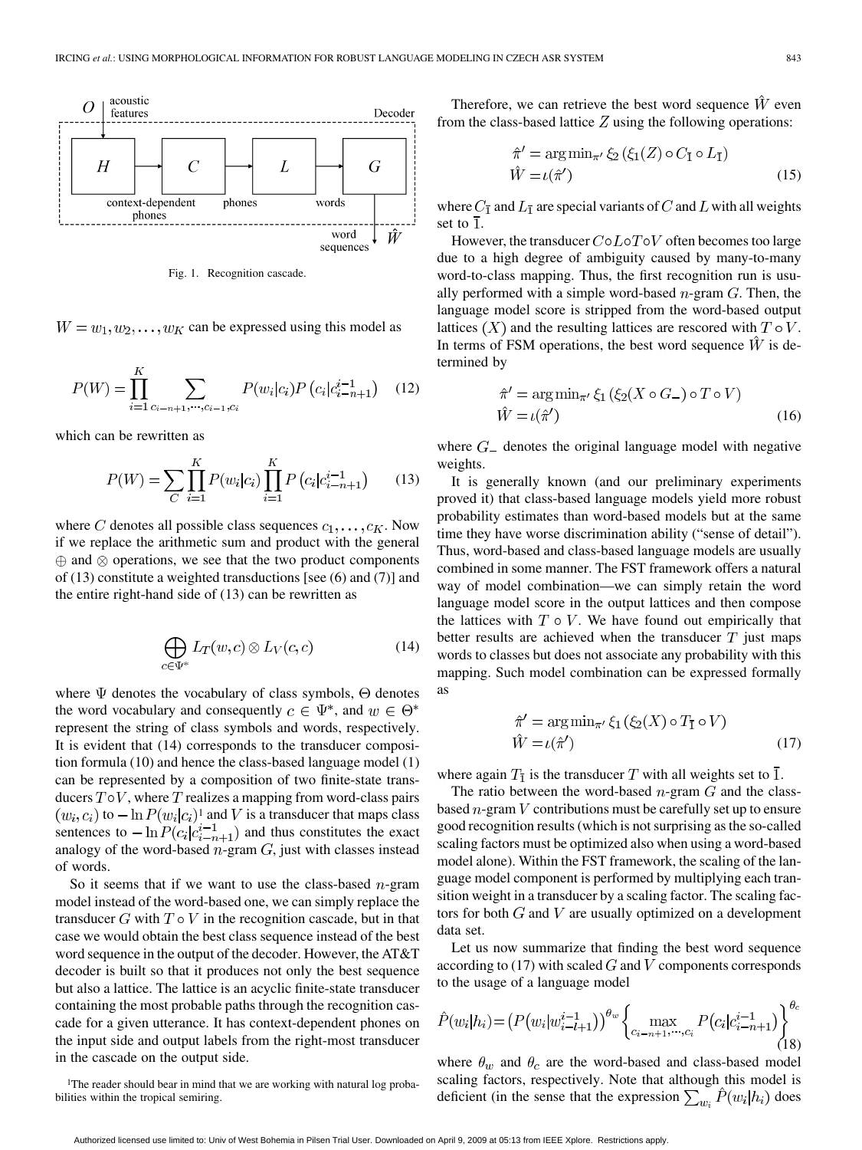

Fig. 1. Recognition cascade.

 $W = w_1, w_2, \dots, w_K$  can be expressed using this model as

$$
P(W) = \prod_{i=1}^{K} \sum_{c_{i-n+1}, \dots, c_{i-1}, c_i} P(w_i | c_i) P(c_i | c_{i-n+1}^{i-1}) \quad (12)
$$

which can be rewritten as

$$
P(W) = \sum_{C} \prod_{i=1}^{K} P(w_i|c_i) \prod_{i=1}^{K} P(c_i|c_{i-n+1}^{i-1}) \qquad (13)
$$

where C denotes all possible class sequences  $c_1, \ldots, c_K$ . Now if we replace the arithmetic sum and product with the general  $\oplus$  and  $\otimes$  operations, we see that the two product components of (13) constitute a weighted transductions [see (6) and (7)] and the entire right-hand side of (13) can be rewritten as

$$
\bigoplus_{c \in \Psi^*} L_T(w, c) \otimes L_V(c, c) \tag{14}
$$

where  $\Psi$  denotes the vocabulary of class symbols,  $\Theta$  denotes the word vocabulary and consequently  $c \in \Psi^*$ , and  $w \in \Theta^*$ represent the string of class symbols and words, respectively. It is evident that (14) corresponds to the transducer composition formula (10) and hence the class-based language model (1) can be represented by a composition of two finite-state transducers  $T \circ V$ , where T realizes a mapping from word-class pairs  $(w_i, c_i)$  to  $-\ln P(w_i|c_i)^T$  and V is a transducer that maps class sentences to  $-\ln P(c_i|c_{i-n+1}^{i-1})$  and thus constitutes the exact analogy of the word-based  $n$ -gram  $G$ , just with classes instead of words.

So it seems that if we want to use the class-based  $n$ -gram model instead of the word-based one, we can simply replace the transducer  $G$  with  $T \circ V$  in the recognition cascade, but in that case we would obtain the best class sequence instead of the best word sequence in the output of the decoder. However, the AT&T decoder is built so that it produces not only the best sequence but also a lattice. The lattice is an acyclic finite-state transducer containing the most probable paths through the recognition cascade for a given utterance. It has context-dependent phones on the input side and output labels from the right-most transducer in the cascade on the output side.

<sup>1</sup>The reader should bear in mind that we are working with natural log probabilities within the tropical semiring.

Therefore, we can retrieve the best word sequence  $\hat{W}$  even from the class-based lattice  $Z$  using the following operations:

$$
\hat{\pi}' = \arg \min_{\pi'} \xi_2 (\xi_1(Z) \circ C_{\mathbf{I}} \circ L_{\mathbf{I}})
$$
  

$$
\hat{W} = \iota(\hat{\pi}')
$$
 (15)

where  $C_{\overline{1}}$  and  $L_{\overline{1}}$  are special variants of C and L with all weights set to  $\overline{1}$ .

However, the transducer  $C \circ L \circ T \circ V$  often becomes too large due to a high degree of ambiguity caused by many-to-many word-to-class mapping. Thus, the first recognition run is usually performed with a simple word-based  $n$ -gram  $G$ . Then, the language model score is stripped from the word-based output lattices  $(X)$  and the resulting lattices are rescored with  $T \circ V$ . In terms of FSM operations, the best word sequence  $\hat{W}$  is determined by

$$
\hat{\pi}' = \arg \min_{\pi'} \xi_1 \left( \xi_2(X \circ G_-) \circ T \circ V \right)
$$
  

$$
\hat{W} = \iota(\hat{\pi}')
$$
 (16)

where  $G_{-}$  denotes the original language model with negative weights.

It is generally known (and our preliminary experiments proved it) that class-based language models yield more robust probability estimates than word-based models but at the same time they have worse discrimination ability ("sense of detail"). Thus, word-based and class-based language models are usually combined in some manner. The FST framework offers a natural way of model combination—we can simply retain the word language model score in the output lattices and then compose the lattices with  $T \circ V$ . We have found out empirically that better results are achieved when the transducer  $T$  just maps words to classes but does not associate any probability with this mapping. Such model combination can be expressed formally as

$$
\hat{\pi}' = \arg \min_{\pi'} \xi_1 (\xi_2(X) \circ T_{\bar{1}} \circ V)
$$
  

$$
\hat{W} = \iota(\hat{\pi}')
$$
 (17)

where again  $T_{\overline{1}}$  is the transducer T with all weights set to  $\overline{1}$ .

The ratio between the word-based  $n$ -gram  $G$  and the classbased  $n$ -gram  $V$  contributions must be carefully set up to ensure good recognition results (which is not surprising as the so-called scaling factors must be optimized also when using a word-based model alone). Within the FST framework, the scaling of the language model component is performed by multiplying each transition weight in a transducer by a scaling factor. The scaling factors for both  $G$  and  $V$  are usually optimized on a development data set.

Let us now summarize that finding the best word sequence according to  $(17)$  with scaled G and V components corresponds to the usage of a language model

$$
\hat{P}(w_i|h_i) = \left(P(w_i|w_{i-l+1}^{i-1})\right)^{\theta_w} \left\{\max_{c_{i-n+1}, \dots, c_i} P(c_i|c_{i-n+1}^{i-1})\right\}_{(18)}^{\theta_c}
$$

where  $\theta_w$  and  $\theta_c$  are the word-based and class-based model scaling factors, respectively. Note that although this model is deficient (in the sense that the expression  $\sum_{w_i} \hat{P}(w_i|h_i)$  does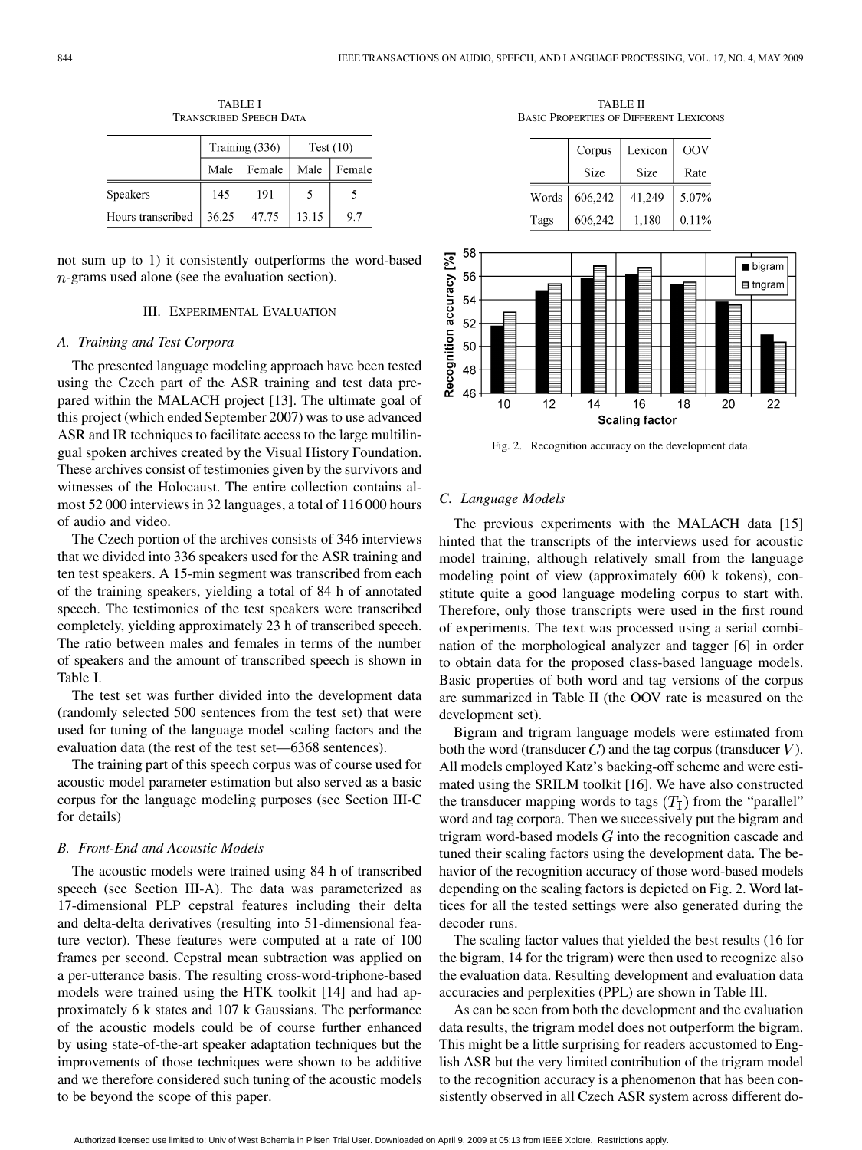|                   | Training (336) |        | Test $(10)$ |        |
|-------------------|----------------|--------|-------------|--------|
|                   | Male           | Female | Male        | Female |
| Speakers          | 145            | 191    |             |        |
| Hours transcribed | 36.25          | 47.75  | 13.15       | 9.7    |

TABLE I TRANSCRIBED SPEECH DATA

not sum up to 1) it consistently outperforms the word-based  $n$ -grams used alone (see the evaluation section).

# III. EXPERIMENTAL EVALUATION

#### *A. Training and Test Corpora*

The presented language modeling approach have been tested using the Czech part of the ASR training and test data prepared within the MALACH project [13]. The ultimate goal of this project (which ended September 2007) was to use advanced ASR and IR techniques to facilitate access to the large multilingual spoken archives created by the Visual History Foundation. These archives consist of testimonies given by the survivors and witnesses of the Holocaust. The entire collection contains almost 52 000 interviews in 32 languages, a total of 116 000 hours of audio and video.

The Czech portion of the archives consists of 346 interviews that we divided into 336 speakers used for the ASR training and ten test speakers. A 15-min segment was transcribed from each of the training speakers, yielding a total of 84 h of annotated speech. The testimonies of the test speakers were transcribed completely, yielding approximately 23 h of transcribed speech. The ratio between males and females in terms of the number of speakers and the amount of transcribed speech is shown in Table I.

The test set was further divided into the development data (randomly selected 500 sentences from the test set) that were used for tuning of the language model scaling factors and the evaluation data (the rest of the test set—6368 sentences).

The training part of this speech corpus was of course used for acoustic model parameter estimation but also served as a basic corpus for the language modeling purposes (see Section III-C for details)

#### *B. Front-End and Acoustic Models*

The acoustic models were trained using 84 h of transcribed speech (see Section III-A). The data was parameterized as 17-dimensional PLP cepstral features including their delta and delta-delta derivatives (resulting into 51-dimensional feature vector). These features were computed at a rate of 100 frames per second. Cepstral mean subtraction was applied on a per-utterance basis. The resulting cross-word-triphone-based models were trained using the HTK toolkit [14] and had approximately 6 k states and 107 k Gaussians. The performance of the acoustic models could be of course further enhanced by using state-of-the-art speaker adaptation techniques but the improvements of those techniques were shown to be additive and we therefore considered such tuning of the acoustic models to be beyond the scope of this paper.

TABLE II BASIC PROPERTIES OF DIFFERENT LEXICONS

|       | Corpus  | Lexicon | OOV   |
|-------|---------|---------|-------|
|       | Size    | Size    | Rate  |
| Words | 606,242 | 41.249  | 5.07% |
| Tags  | 606,242 | 1,180   | 0.11% |



Fig. 2. Recognition accuracy on the development data.

# *C. Language Models*

The previous experiments with the MALACH data [15] hinted that the transcripts of the interviews used for acoustic model training, although relatively small from the language modeling point of view (approximately 600 k tokens), constitute quite a good language modeling corpus to start with. Therefore, only those transcripts were used in the first round of experiments. The text was processed using a serial combination of the morphological analyzer and tagger [6] in order to obtain data for the proposed class-based language models. Basic properties of both word and tag versions of the corpus are summarized in Table II (the OOV rate is measured on the development set).

Bigram and trigram language models were estimated from both the word (transducer  $G$ ) and the tag corpus (transducer  $V$ ). All models employed Katz's backing-off scheme and were estimated using the SRILM toolkit [16]. We have also constructed the transducer mapping words to tags  $(T_1)$  from the "parallel" word and tag corpora. Then we successively put the bigram and trigram word-based models  $G$  into the recognition cascade and tuned their scaling factors using the development data. The behavior of the recognition accuracy of those word-based models depending on the scaling factors is depicted on Fig. 2. Word lattices for all the tested settings were also generated during the decoder runs.

The scaling factor values that yielded the best results (16 for the bigram, 14 for the trigram) were then used to recognize also the evaluation data. Resulting development and evaluation data accuracies and perplexities (PPL) are shown in Table III.

As can be seen from both the development and the evaluation data results, the trigram model does not outperform the bigram. This might be a little surprising for readers accustomed to English ASR but the very limited contribution of the trigram model to the recognition accuracy is a phenomenon that has been consistently observed in all Czech ASR system across different do-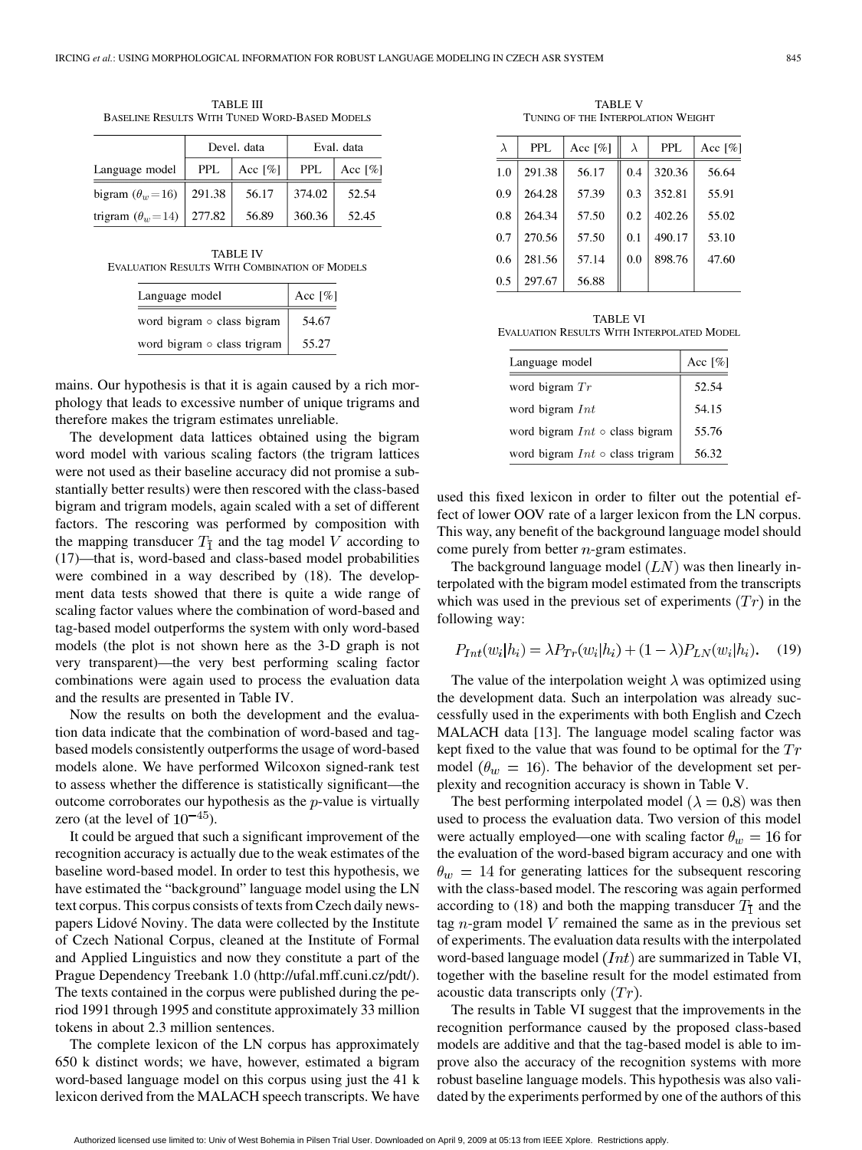| TABLE III                                     |  |
|-----------------------------------------------|--|
| BASELINE RESULTS WITH TUNED WORD-BASED MODELS |  |
|                                               |  |

|                                    | Devel. data |            | Eval. data |                       |
|------------------------------------|-------------|------------|------------|-----------------------|
| Language model                     | <b>PPL</b>  | Acc $[\%]$ | <b>PPL</b> | Acc $\lceil\% \rceil$ |
| bigram $(\theta_w = 16)$           | 291.38      | 56.17      | 374.02     | 52.54                 |
| trigram $(\theta_w = 14)$   277.82 |             | 56.89      | 360.36     | 52.45                 |

TABLE IV EVALUATION RESULTS WITH COMBINATION OF MODELS

| Language model              | Acc [%] |
|-----------------------------|---------|
| word bigram o class bigram  | 54.67   |
| word bigram o class trigram | 55.27   |

mains. Our hypothesis is that it is again caused by a rich morphology that leads to excessive number of unique trigrams and therefore makes the trigram estimates unreliable.

The development data lattices obtained using the bigram word model with various scaling factors (the trigram lattices were not used as their baseline accuracy did not promise a substantially better results) were then rescored with the class-based bigram and trigram models, again scaled with a set of different factors. The rescoring was performed by composition with the mapping transducer  $T_{\overline{1}}$  and the tag model V according to (17)—that is, word-based and class-based model probabilities were combined in a way described by (18). The development data tests showed that there is quite a wide range of scaling factor values where the combination of word-based and tag-based model outperforms the system with only word-based models (the plot is not shown here as the 3-D graph is not very transparent)—the very best performing scaling factor combinations were again used to process the evaluation data and the results are presented in Table IV.

Now the results on both the development and the evaluation data indicate that the combination of word-based and tagbased models consistently outperforms the usage of word-based models alone. We have performed Wilcoxon signed-rank test to assess whether the difference is statistically significant—the outcome corroborates our hypothesis as the  $p$ -value is virtually zero (at the level of  $10^{-45}$ ).

It could be argued that such a significant improvement of the recognition accuracy is actually due to the weak estimates of the baseline word-based model. In order to test this hypothesis, we have estimated the "background" language model using the LN text corpus. This corpus consists of texts from Czech daily newspapers Lidové Noviny. The data were collected by the Institute of Czech National Corpus, cleaned at the Institute of Formal and Applied Linguistics and now they constitute a part of the Prague Dependency Treebank 1.0 (http://ufal.mff.cuni.cz/pdt/). The texts contained in the corpus were published during the period 1991 through 1995 and constitute approximately 33 million tokens in about 2.3 million sentences.

The complete lexicon of the LN corpus has approximately 650 k distinct words; we have, however, estimated a bigram word-based language model on this corpus using just the 41 k lexicon derived from the MALACH speech transcripts. We have

TABLE V TUNING OF THE INTERPOLATION WEIGHT

| $\lambda$ | <b>PPL</b> | Acc $[\%]$ | $\lambda$ | <b>PPL</b> | Acc $[\%]$ |
|-----------|------------|------------|-----------|------------|------------|
| 1.0       | 291.38     | 56.17      | 0.4       | 320.36     | 56.64      |
| 0.9       | 264.28     | 57.39      | 0.3       | 352.81     | 55.91      |
| 0.8       | 264.34     | 57.50      | 0.2       | 402.26     | 55.02      |
| 0.7       | 270.56     | 57.50      | 0.1       | 490.17     | 53.10      |
| 0.6       | 281.56     | 57.14      | 0.0       | 898.76     | 47.60      |
| 0.5       | 297.67     | 56.88      |           |            |            |

| <b>TABLE VI</b>                            |  |
|--------------------------------------------|--|
| EVALUATION RESULTS WITH INTERPOLATED MODEL |  |

| Language model                        | Acc <sup>[%]</sup> |
|---------------------------------------|--------------------|
| word bigram $Tr$                      | 52.54              |
| word bigram $Int$                     | 54.15              |
| word bigram $Int \circ$ class bigram  | 55.76              |
| word bigram $Int \circ$ class trigram | 56.32              |

used this fixed lexicon in order to filter out the potential effect of lower OOV rate of a larger lexicon from the LN corpus. This way, any benefit of the background language model should come purely from better  $n$ -gram estimates.

The background language model  $(LN)$  was then linearly interpolated with the bigram model estimated from the transcripts which was used in the previous set of experiments  $(Tr)$  in the following way:

$$
P_{Int}(w_i|h_i) = \lambda P_{Tr}(w_i|h_i) + (1 - \lambda)P_{LN}(w_i|h_i). \tag{19}
$$

The value of the interpolation weight  $\lambda$  was optimized using the development data. Such an interpolation was already successfully used in the experiments with both English and Czech MALACH data [13]. The language model scaling factor was kept fixed to the value that was found to be optimal for the  $Tr$ model  $(\theta_w = 16)$ . The behavior of the development set perplexity and recognition accuracy is shown in Table V.

The best performing interpolated model ( $\lambda = 0.8$ ) was then used to process the evaluation data. Two version of this model were actually employed—one with scaling factor  $\theta_w = 16$  for the evaluation of the word-based bigram accuracy and one with  $\theta_w = 14$  for generating lattices for the subsequent rescoring with the class-based model. The rescoring was again performed according to (18) and both the mapping transducer  $T_1$  and the tag  $n$ -gram model V remained the same as in the previous set of experiments. The evaluation data results with the interpolated word-based language model  $(Int)$  are summarized in Table VI, together with the baseline result for the model estimated from acoustic data transcripts only  $(Tr)$ .

The results in Table VI suggest that the improvements in the recognition performance caused by the proposed class-based models are additive and that the tag-based model is able to improve also the accuracy of the recognition systems with more robust baseline language models. This hypothesis was also validated by the experiments performed by one of the authors of this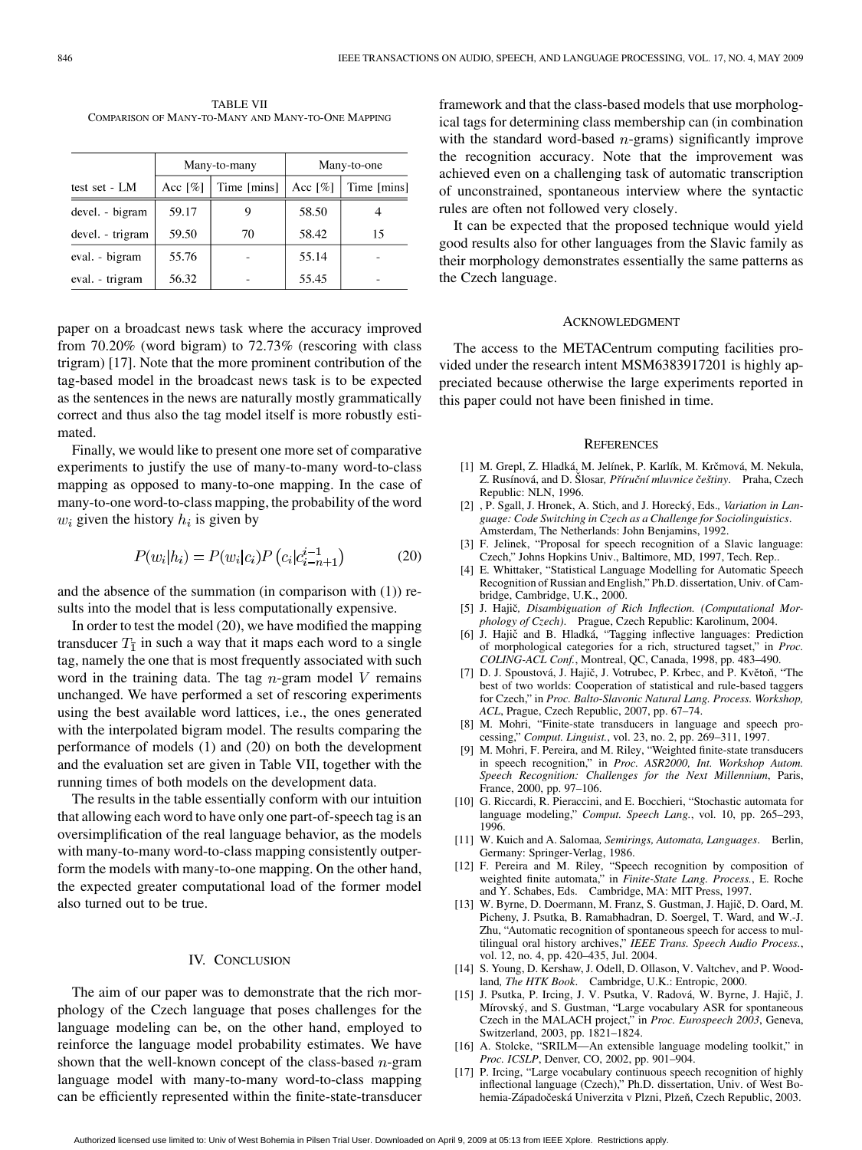TABLE VII COMPARISON OF MANY-TO-MANY AND MANY-TO-ONE MAPPING

|                  | Many-to-many |             | Many-to-one |             |
|------------------|--------------|-------------|-------------|-------------|
| test set - LM    | Acc $[\%]$   | Time [mins] | Acc $[\%]$  | Time [mins] |
| devel. - bigram  | 59.17        |             | 58.50       |             |
| devel. - trigram | 59.50        | 70          | 58.42       | 15          |
| eval. - bigram   | 55.76        |             | 55.14       |             |
| eval. - trigram  | 56.32        |             | 55.45       |             |

paper on a broadcast news task where the accuracy improved from 70.20% (word bigram) to 72.73% (rescoring with class trigram) [17]. Note that the more prominent contribution of the tag-based model in the broadcast news task is to be expected as the sentences in the news are naturally mostly grammatically correct and thus also the tag model itself is more robustly estimated.

Finally, we would like to present one more set of comparative experiments to justify the use of many-to-many word-to-class mapping as opposed to many-to-one mapping. In the case of many-to-one word-to-class mapping, the probability of the word  $w_i$  given the history  $h_i$  is given by

$$
P(w_i|h_i) = P(w_i|c_i)P(c_i|c_{i-n+1}^{i-1})
$$
 (20)

and the absence of the summation (in comparison with (1)) results into the model that is less computationally expensive.

In order to test the model (20), we have modified the mapping transducer  $T_1$  in such a way that it maps each word to a single tag, namely the one that is most frequently associated with such word in the training data. The tag  $n$ -gram model V remains unchanged. We have performed a set of rescoring experiments using the best available word lattices, i.e., the ones generated with the interpolated bigram model. The results comparing the performance of models (1) and (20) on both the development and the evaluation set are given in Table VII, together with the running times of both models on the development data.

The results in the table essentially conform with our intuition that allowing each word to have only one part-of-speech tag is an oversimplification of the real language behavior, as the models with many-to-many word-to-class mapping consistently outperform the models with many-to-one mapping. On the other hand, the expected greater computational load of the former model also turned out to be true.

# IV. CONCLUSION

The aim of our paper was to demonstrate that the rich morphology of the Czech language that poses challenges for the language modeling can be, on the other hand, employed to reinforce the language model probability estimates. We have shown that the well-known concept of the class-based  $n$ -gram language model with many-to-many word-to-class mapping can be efficiently represented within the finite-state-transducer

framework and that the class-based models that use morphological tags for determining class membership can (in combination with the standard word-based  $n$ -grams) significantly improve the recognition accuracy. Note that the improvement was achieved even on a challenging task of automatic transcription of unconstrained, spontaneous interview where the syntactic rules are often not followed very closely.

It can be expected that the proposed technique would yield good results also for other languages from the Slavic family as their morphology demonstrates essentially the same patterns as the Czech language.

#### ACKNOWLEDGMENT

The access to the METACentrum computing facilities provided under the research intent MSM6383917201 is highly appreciated because otherwise the large experiments reported in this paper could not have been finished in time.

#### **REFERENCES**

- [1] M. Grepl, Z. Hladká, M. Jelínek, P. Karlík, M. Krčmová, M. Nekula, Z. Rusínová, and D. Šlosar, Příruční mluvnice češtiny. Praha, Czech Republic: NLN, 1996.
- [2] , P. Sgall, J. Hronek, A. Stich, and J. Horecký, Eds.*, Variation in Language: Code Switching in Czech as a Challenge for Sociolinguistics*. Amsterdam, The Netherlands: John Benjamins, 1992.
- [3] F. Jelinek, "Proposal for speech recognition of a Slavic language: Czech," Johns Hopkins Univ., Baltimore, MD, 1997, Tech. Rep..
- [4] E. Whittaker, "Statistical Language Modelling for Automatic Speech Recognition of Russian and English," Ph.D. dissertation, Univ. of Cambridge, Cambridge, U.K., 2000.
- [5] J. Hajič, Disambiguation of Rich Inflection. (Computational Mor*phology of Czech)*. Prague, Czech Republic: Karolinum, 2004.
- [6] J. Hajič and B. Hladká, "Tagging inflective languages: Prediction of morphological categories for a rich, structured tagset," in *Proc. COLING-ACL Conf.*, Montreal, QC, Canada, 1998, pp. 483–490.
- [7] D. J. Spoustová, J. Hajič, J. Votrubec, P. Krbec, and P. Květoň, "The best of two worlds: Cooperation of statistical and rule-based taggers for Czech," in *Proc. Balto-Slavonic Natural Lang. Process. Workshop, ACL*, Prague, Czech Republic, 2007, pp. 67–74.
- [8] M. Mohri, "Finite-state transducers in language and speech processing," *Comput. Linguist.*, vol. 23, no. 2, pp. 269–311, 1997.
- [9] M. Mohri, F. Pereira, and M. Riley, "Weighted finite-state transducers in speech recognition," in *Proc. ASR2000, Int. Workshop Autom. Speech Recognition: Challenges for the Next Millennium*, Paris, France, 2000, pp. 97–106.
- [10] G. Riccardi, R. Pieraccini, and E. Bocchieri, "Stochastic automata for language modeling," *Comput. Speech Lang.*, vol. 10, pp. 265–293, 1996.
- [11] W. Kuich and A. Salomaa*, Semirings, Automata, Languages*. Berlin, Germany: Springer-Verlag, 1986.
- [12] F. Pereira and M. Riley, "Speech recognition by composition of weighted finite automata," in *Finite-State Lang. Process.*, E. Roche and Y. Schabes, Eds. Cambridge, MA: MIT Press, 1997.
- [13] W. Byrne, D. Doermann, M. Franz, S. Gustman, J. Hajič, D. Oard, M. Picheny, J. Psutka, B. Ramabhadran, D. Soergel, T. Ward, and W.-J. Zhu, "Automatic recognition of spontaneous speech for access to multilingual oral history archives," *IEEE Trans. Speech Audio Process.*, vol. 12, no. 4, pp. 420–435, Jul. 2004.
- [14] S. Young, D. Kershaw, J. Odell, D. Ollason, V. Valtchev, and P. Woodland*, The HTK Book*. Cambridge, U.K.: Entropic, 2000.
- [15] J. Psutka, P. Ircing, J. V. Psutka, V. Radová, W. Byrne, J. Hajič, J. Mírovský, and S. Gustman, "Large vocabulary ASR for spontaneous Czech in the MALACH project," in *Proc. Eurospeech 2003*, Geneva, Switzerland, 2003, pp. 1821–1824.
- [16] A. Stolcke, "SRILM—An extensible language modeling toolkit," in *Proc. ICSLP*, Denver, CO, 2002, pp. 901–904.
- P. Ircing, "Large vocabulary continuous speech recognition of highly inflectional language (Czech)," Ph.D. dissertation, Univ. of West Bohemia-Západočeská Univerzita v Plzni, Plzeň, Czech Republic, 2003.